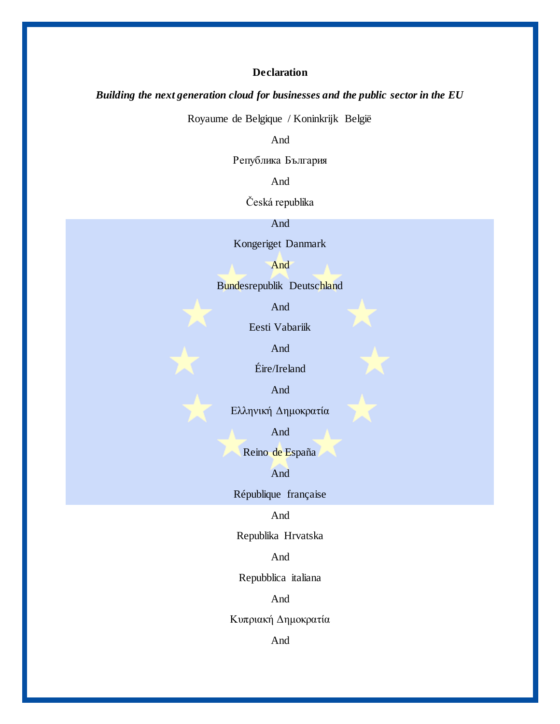# **Declaration**

### *Building the next generation cloud for businesses and the public sector in the EU*

Royaume de Belgique / Koninkrijk België

And

Република България

And

Česká republika

And

Kongeriget Danmark

And

Bundesrepublik Deutschland

And

Eesti Vabariik

And

Éire/Ireland

And

Ελληνική Δημοκρατία

And

Reino de España

And

République française

And

Republika Hrvatska

And

Repubblica italiana

And

Κυπριακή Δημοκρατία

And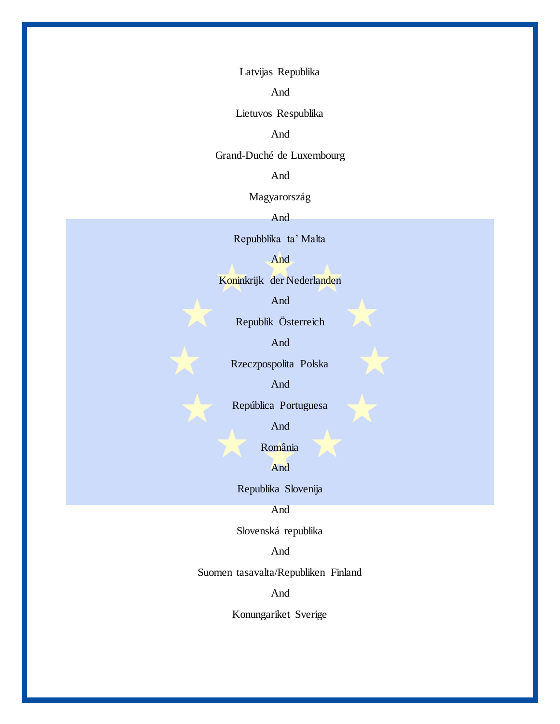Latvijas Republika

And

Lietuvos Respublika

And

Grand-Duché de Luxembourg

And

Magyarország

And

Repubblika ta' Malta

And

Koninkrijk der Nederlanden

And

Republik Österreich

And

Rzeczpospolita Polska

And

República Portuguesa

And

România

And

Republika Slovenija

And

Slovenská republika

And

Suomen tasavalta/Republiken Finland

And

Konungariket Sverige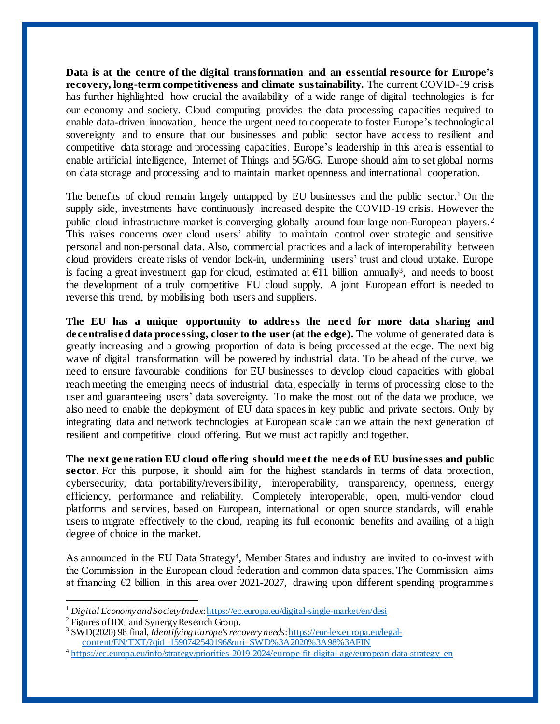**Data is at the centre of the digital transformation and an essential resource for Europe's recovery, long-term competitiveness and climate sustainability.** The current COVID-19 crisis has further highlighted how crucial the availability of a wide range of digital technologies is for our economy and society. Cloud computing provides the data processing capacities required to enable data-driven innovation, hence the urgent need to cooperate to foster Europe's technological sovereignty and to ensure that our businesses and public sector have access to resilient and competitive data storage and processing capacities. Europe's leadership in this area is essential to enable artificial intelligence, Internet of Things and 5G/6G. Europe should aim to set global norms on data storage and processing and to maintain market openness and international cooperation.

The benefits of cloud remain largely untapped by EU businesses and the public sector.<sup>1</sup> On the supply side, investments have continuously increased despite the COVID-19 crisis. However the public cloud infrastructure market is converging globally around four large non-European players.<sup>2</sup> This raises concerns over cloud users' ability to maintain control over strategic and sensitive personal and non-personal data. Also, commercial practices and a lack of interoperability between cloud providers create risks of vendor lock-in, undermining users' trust and cloud uptake. Europe is facing a great investment gap for cloud, estimated at  $E11$  billion annually<sup>3</sup>, and needs to boost the development of a truly competitive EU cloud supply. A joint European effort is needed to reverse this trend, by mobilising both users and suppliers.

**The EU has a unique opportunity to address the need for more data sharing and decentralised data processing, closer to the user (at the edge).** The volume of generated data is greatly increasing and a growing proportion of data is being processed at the edge. The next big wave of digital transformation will be powered by industrial data. To be ahead of the curve, we need to ensure favourable conditions for EU businesses to develop cloud capacities with global reach meeting the emerging needs of industrial data, especially in terms of processing close to the user and guaranteeing users' data sovereignty. To make the most out of the data we produce, we also need to enable the deployment of EU data spaces in key public and private sectors. Only by integrating data and network technologies at European scale can we attain the next generation of resilient and competitive cloud offering. But we must act rapidly and together.

**The next generation EU cloud offering should meet the needs of EU businesses and public sector**. For this purpose, it should aim for the highest standards in terms of data protection, cybersecurity, data portability/reversibility, interoperability, transparency, openness, energy efficiency, performance and reliability. Completely interoperable, open, multi-vendor cloud platforms and services, based on European, international or open source standards, will enable users to migrate effectively to the cloud, reaping its full economic benefits and availing of a high degree of choice in the market.

As announced in the EU Data Strategy<sup>4</sup>, Member States and industry are invited to co-invest with the Commission in the European cloud federation and common data spaces.The Commission aims at financing  $\epsilon$ 2 billion in this area over 2021-2027, drawing upon different spending programmes

j

<sup>1</sup> *Digital Economy and Society Index*[: https://ec.europa.eu/digital-single-market/en/desi](https://ec.europa.eu/digital-single-market/en/desi)

<sup>&</sup>lt;sup>2</sup> Figures of IDC and Synergy Research Group.

<sup>3</sup> SWD(2020) 98 final, *Identifying Europe's recovery needs*[: https://eur-lex.europa.eu/legal](https://eur-lex.europa.eu/legal-content/EN/TXT/?qid=1590742540196&uri=SWD%3A2020%3A98%3AFIN)[content/EN/TXT/?qid=1590742540196&uri=SWD%3A2020%3A98%3AFIN](https://eur-lex.europa.eu/legal-content/EN/TXT/?qid=1590742540196&uri=SWD%3A2020%3A98%3AFIN)

<sup>&</sup>lt;sup>4</sup> [https://ec.europa.eu/info/strategy/priorities-2019-2024/europe-fit-digital-age/european-data-strategy\\_en](https://ec.europa.eu/info/strategy/priorities-2019-2024/europe-fit-digital-age/european-data-strategy_en)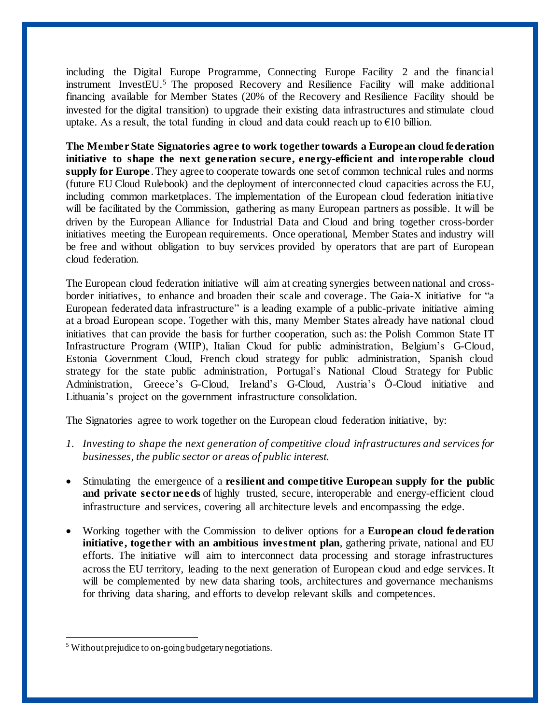including the Digital Europe Programme, Connecting Europe Facility 2 and the financial instrument InvestEU. <sup>5</sup> The proposed Recovery and Resilience Facility will make additional financing available for Member States (20% of the Recovery and Resilience Facility should be invested for the digital transition) to upgrade their existing data infrastructures and stimulate cloud uptake. As a result, the total funding in cloud and data could reach up to  $\epsilon$ 10 billion.

**The Member State Signatories agree to work together towards a European cloud federation initiative to shape the next generation secure, energy-efficient and interoperable cloud supply for Europe**. They agree to cooperate towards one set of common technical rules and norms (future EU Cloud Rulebook) and the deployment of interconnected cloud capacities across the EU, including common marketplaces. The implementation of the European cloud federation initiative will be facilitated by the Commission, gathering as many European partners as possible. It will be driven by the European Alliance for Industrial Data and Cloud and bring together cross-border initiatives meeting the European requirements. Once operational, Member States and industry will be free and without obligation to buy services provided by operators that are part of European cloud federation.

The European cloud federation initiative will aim at creating synergies between national and crossborder initiatives, to enhance and broaden their scale and coverage. The Gaia-X initiative for "a European federated data infrastructure" is a leading example of a public-private initiative aiming at a broad European scope. Together with this, many Member States already have national cloud initiatives that can provide the basis for further cooperation, such as: the Polish Common State IT Infrastructure Program (WIIP), Italian Cloud for public administration, Belgium's G-Cloud, Estonia Government Cloud, French cloud strategy for public administration, Spanish cloud strategy for the state public administration, Portugal's National Cloud Strategy for Public Administration, Greece's G-Cloud, Ireland's G-Cloud, Austria's Ö-Cloud initiative and Lithuania's project on the government infrastructure consolidation.

The Signatories agree to work together on the European cloud federation initiative, by:

- *1. Investing to shape the next generation of competitive cloud infrastructures and services for businesses, the public sector or areas of public interest.*
- Stimulating the emergence of a **resilient and competitive European supply for the public and private sector needs** of highly trusted, secure, interoperable and energy-efficient cloud infrastructure and services, covering all architecture levels and encompassing the edge.
- Working together with the Commission to deliver options for a **European cloud federation initiative, together with an ambitious investment plan**, gathering private, national and EU efforts. The initiative will aim to interconnect data processing and storage infrastructures across the EU territory, leading to the next generation of European cloud and edge services. It will be complemented by new data sharing tools, architectures and governance mechanisms for thriving data sharing, and efforts to develop relevant skills and competences.

l

<sup>5</sup> Without prejudice to on-going budgetary negotiations.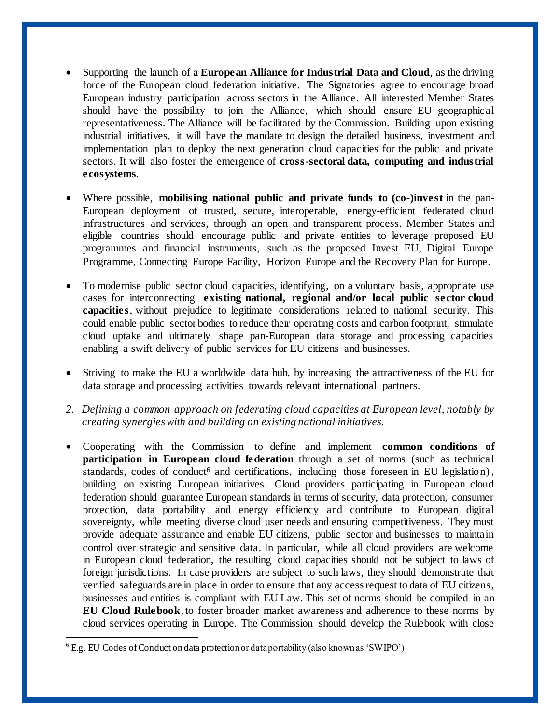- Supporting the launch of a **European Alliance for Industrial Data and Cloud**, as the driving force of the European cloud federation initiative. The Signatories agree to encourage broad European industry participation across sectors in the Alliance. All interested Member States should have the possibility to join the Alliance, which should ensure EU geographical representativeness. The Alliance will be facilitated by the Commission. Building upon existing industrial initiatives, it will have the mandate to design the detailed business, investment and implementation plan to deploy the next generation cloud capacities for the public and private sectors. It will also foster the emergence of **cross-sectoral data, computing and industrial ecosystems**.
- Where possible, **mobilising national public and private funds to (co-)invest** in the pan-European deployment of trusted, secure, interoperable, energy-efficient federated cloud infrastructures and services, through an open and transparent process. Member States and eligible countries should encourage public and private entities to leverage proposed EU programmes and financial instruments, such as the proposed Invest EU, Digital Europe Programme, Connecting Europe Facility, Horizon Europe and the Recovery Plan for Europe.
- To modernise public sector cloud capacities, identifying, on a voluntary basis, appropriate use cases for interconnecting **existing national, regional and/or local public sector cloud capacities**, without prejudice to legitimate considerations related to national security. This could enable public sector bodies to reduce their operating costs and carbon footprint, stimulate cloud uptake and ultimately shape pan-European data storage and processing capacities enabling a swift delivery of public services for EU citizens and businesses.
- Striving to make the EU a worldwide data hub, by increasing the attractiveness of the EU for data storage and processing activities towards relevant international partners.
- *2. Defining a common approach on federating cloud capacities at European level, notably by creating synergies with and building on existing national initiatives.*
- Cooperating with the Commission to define and implement **common conditions of participation in European cloud federation** through a set of norms (such as technical standards, codes of conduct<sup>6</sup> and certifications, including those foreseen in EU legislation), building on existing European initiatives. Cloud providers participating in European cloud federation should guarantee European standards in terms of security, data protection, consumer protection, data portability and energy efficiency and contribute to European digital sovereignty, while meeting diverse cloud user needs and ensuring competitiveness. They must provide adequate assurance and enable EU citizens, public sector and businesses to maintain control over strategic and sensitive data. In particular, while all cloud providers are welcome in European cloud federation, the resulting cloud capacities should not be subject to laws of foreign jurisdictions. In case providers are subject to such laws, they should demonstrate that verified safeguards are in place in order to ensure that any access request to data of EU citizens, businesses and entities is compliant with EU Law. This set of norms should be compiled in an **EU Cloud Rulebook**, to foster broader market awareness and adherence to these norms by cloud services operating in Europe. The Commission should develop the Rulebook with close

l

<sup>6</sup> E.g. EU Codes of Conduct on data protection or data portability (also known as 'SWIPO')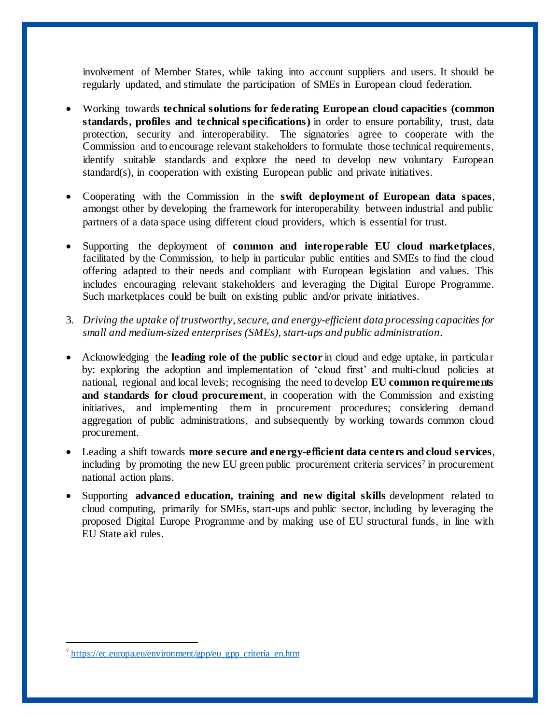involvement of Member States, while taking into account suppliers and users. It should be regularly updated, and stimulate the participation of SMEs in European cloud federation.

- Working towards **technical solutions for federating European cloud capacities (common standards, profiles and technical specifications)** in order to ensure portability, trust, data protection, security and interoperability. The signatories agree to cooperate with the Commission and to encourage relevant stakeholders to formulate those technical requirements, identify suitable standards and explore the need to develop new voluntary European standard(s), in cooperation with existing European public and private initiatives.
- Cooperating with the Commission in the **swift deployment of European data spaces**, amongst other by developing the framework for interoperability between industrial and public partners of a data space using different cloud providers, which is essential for trust.
- Supporting the deployment of **common and interoperable EU cloud marketplaces**, facilitated by the Commission, to help in particular public entities and SMEs to find the cloud offering adapted to their needs and compliant with European legislation and values. This includes encouraging relevant stakeholders and leveraging the Digital Europe Programme. Such marketplaces could be built on existing public and/or private initiatives.
- 3. *Driving the uptake of trustworthy, secure, and energy-efficient data processing capacities for small and medium-sized enterprises (SMEs), start-ups and public administration.*
- Acknowledging the **leading role of the public sector** in cloud and edge uptake, in particular by: exploring the adoption and implementation of 'cloud first' and multi-cloud policies at national, regional and local levels; recognising the need to develop **EU common requirements and standards for cloud procurement**, in cooperation with the Commission and existing initiatives, and implementing them in procurement procedures; considering demand aggregation of public administrations, and subsequently by working towards common cloud procurement.
- Leading a shift towards **more secure and energy-efficient data centers and cloud services**, including by promoting the new EU green public procurement criteria services<sup>7</sup> in procurement national action plans.
- Supporting **advanced education, training and new digital skills** development related to cloud computing, primarily for SMEs, start-ups and public sector, including by leveraging the proposed Digital Europe Programme and by making use of EU structural funds, in line with EU State aid rules.

l

<sup>&</sup>lt;sup>7</sup> [https://ec.europa.eu/environment/gpp/eu\\_gpp\\_criteria\\_en.htm](https://ec.europa.eu/environment/gpp/eu_gpp_criteria_en.htm)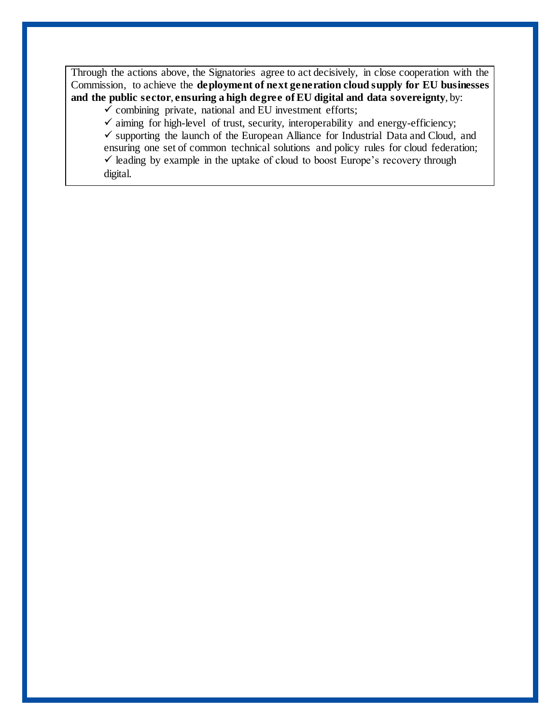Through the actions above, the Signatories agree to act decisively, in close cooperation with the Commission, to achieve the **deployment of next generation cloud supply for EU businesses and the public sector**, **ensuring a high degree of EU digital and data sovereignty**, by:

 $\checkmark$  combining private, national and EU investment efforts;

 $\checkmark$  aiming for high-level of trust, security, interoperability and energy-efficiency;  $\checkmark$  supporting the launch of the European Alliance for Industrial Data and Cloud, and ensuring one set of common technical solutions and policy rules for cloud federation;  $\checkmark$  leading by example in the uptake of cloud to boost Europe's recovery through digital.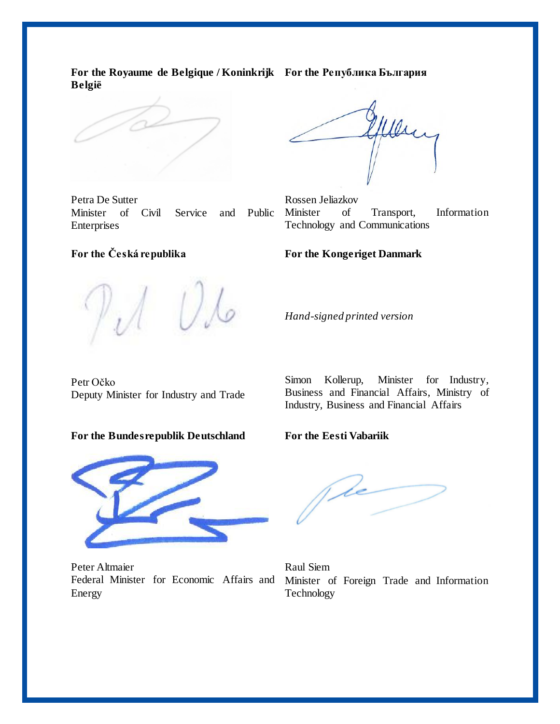**For the Royaume de Belgique / Koninkrijk For the Република България België**

Petra De Sutter Minister of Civil Service and Public Enterprises

Wesc

Rossen Jeliazkov Minister of Transport, Information Technology and Communications

# **For the Kongeriget Danmark**

**For the Česká republika**

*Hand-signed printed version*

Petr Očko Deputy Minister for Industry and Trade

#### **For the Bundesrepublik Deutschland**



Peter Altmaier Federal Minister for Economic Affairs and Energy

Simon Kollerup, Minister for Industry, Business and Financial Affairs, Ministry of Industry, Business and Financial Affairs

## **For the Eesti Vabariik**

(de

Raul Siem Minister of Foreign Trade and Information Technology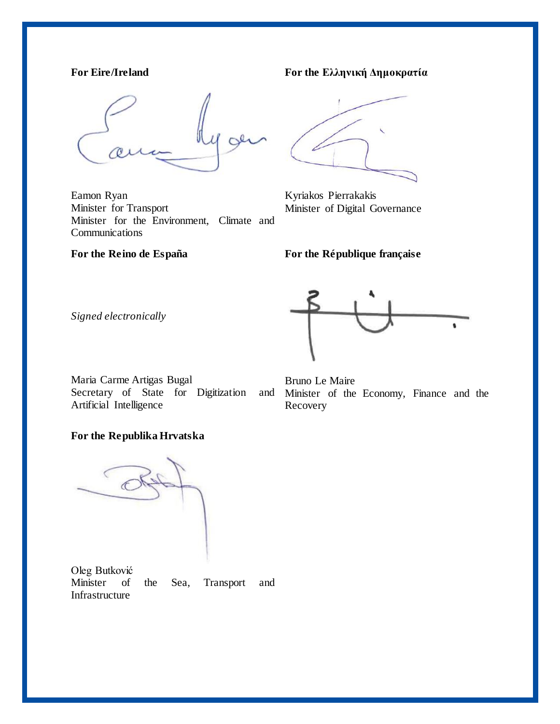# **For Eire/Ireland**

Eamon Ryan Minister for Transport Minister for the Environment, Climate and Communications

**For the Reino de España**

**For the Ελληνική Δημοκρατία** 

Kyriakos Pierrakakis Minister of Digital Governance

**For the République française**

*Signed electronically*

Maria Carme Artigas Bugal Secretary of State for Digitization and Artificial Intelligence

Bruno Le Maire Minister of the Economy, Finance and the Recovery

# **For the Republika Hrvatska**

Oleg Butković Minister of the Sea, Transport and Infrastructure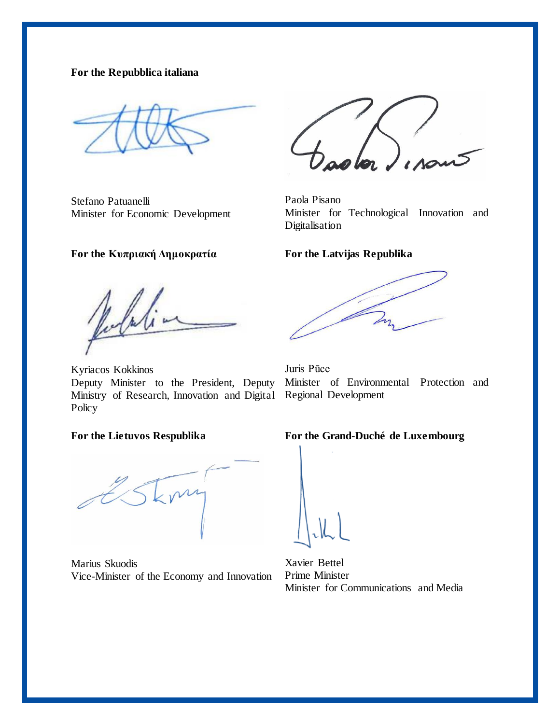## **For the Repubblica italiana**

Stefano Patuanelli Minister for Economic Development

### **For the Κυπριακή Δημοκρατία**

Jula

Kyriacos Kokkinos Deputy Minister to the President, Deputy Ministry of Research, Innovation and Digital Regional Development **Policy** 

#### **For the Lietuvos Respublika**

Marius Skuodis Vice-Minister of the Economy and Innovation

Paola Pisano Minister for Technological Innovation and Digitalisation

### **For the Latvijas Republika**

Juris Pūce Minister of Environmental Protection and

## **For the Grand-Duché de Luxembourg**

Xavier Bettel Prime Minister Minister for Communications and Media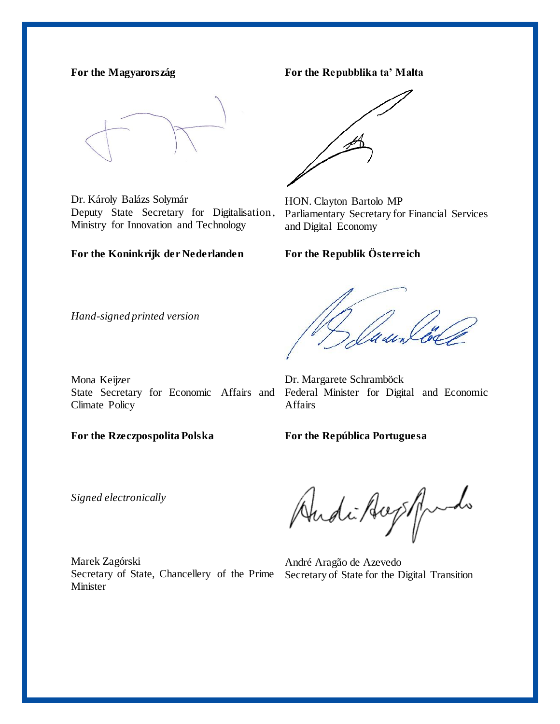### **For the Magyarország**

Dr. Károly Balázs Solymár Deputy State Secretary for Digitalisation, Ministry for Innovation and Technology

#### **For the Koninkrijk der Nederlanden**

**For the Repubblika ta' Malta** 



HON. Clayton Bartolo MP Parliamentary Secretary for Financial Services and Digital Economy

## **For the Republik Österreich**

*Hand-signed printed version*

Mona Keijzer State Secretary for Economic Affairs and Climate Policy

Dr. Margarete Schramböck Federal Minister for Digital and Economic Affairs

**For the Rzeczpospolita Polska**

**For the República Portuguesa**

*Signed electronically*

Marek Zagórski Secretary of State, Chancellery of the Prime Secretary of State for the Digital Transition**Minister** 

Andi Aught

André Aragão de Azevedo